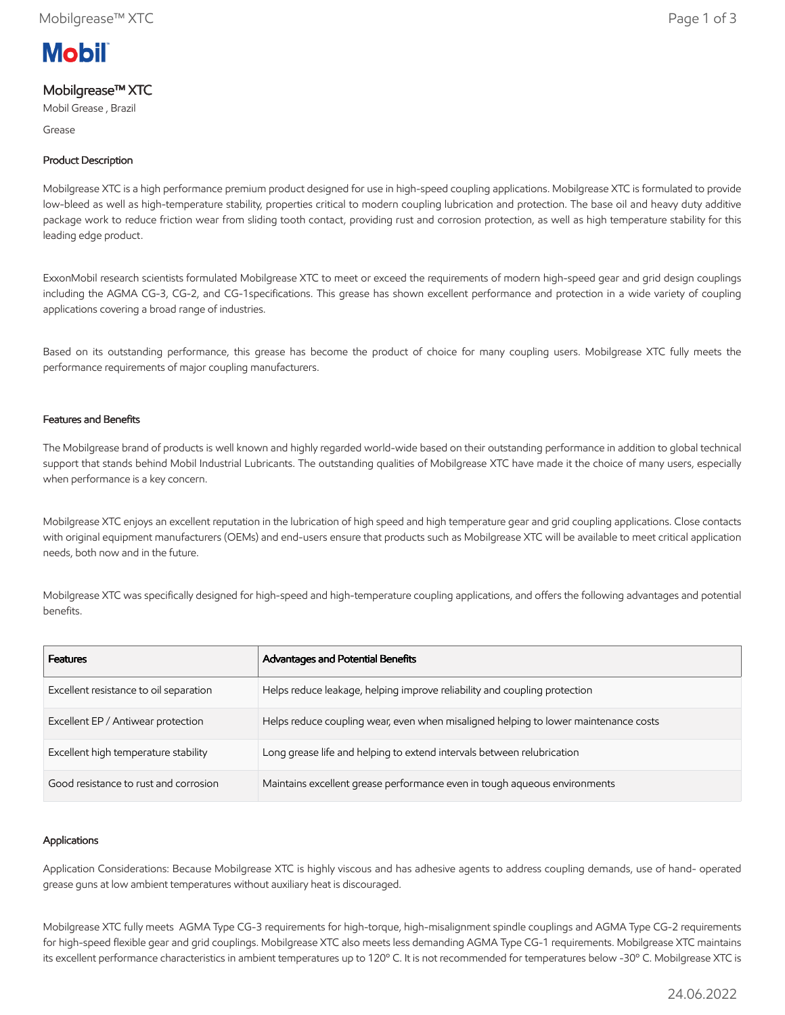

# Mobilgrease™ XTC

Mobil Grease , Brazil

Grease

## Product Description

Mobilgrease XTC is a high performance premium product designed for use in high-speed coupling applications. Mobilgrease XTC is formulated to provide low-bleed as well as high-temperature stability, properties critical to modern coupling lubrication and protection. The base oil and heavy duty additive package work to reduce friction wear from sliding tooth contact, providing rust and corrosion protection, as well as high temperature stability for this leading edge product.

ExxonMobil research scientists formulated Mobilgrease XTC to meet or exceed the requirements of modern high-speed gear and grid design couplings including the AGMA CG-3, CG-2, and CG-1specifications. This grease has shown excellent performance and protection in a wide variety of coupling applications covering a broad range of industries.

Based on its outstanding performance, this grease has become the product of choice for many coupling users. Mobilgrease XTC fully meets the performance requirements of major coupling manufacturers.

### Features and Benefits

The Mobilgrease brand of products is well known and highly regarded world-wide based on their outstanding performance in addition to global technical support that stands behind Mobil Industrial Lubricants. The outstanding qualities of Mobilgrease XTC have made it the choice of many users, especially when performance is a key concern.

Mobilgrease XTC enjoys an excellent reputation in the lubrication of high speed and high temperature gear and grid coupling applications. Close contacts with original equipment manufacturers (OEMs) and end-users ensure that products such as Mobilgrease XTC will be available to meet critical application needs, both now and in the future.

Mobilgrease XTC was specifically designed for high-speed and high-temperature coupling applications, and offers the following advantages and potential benefits.

| <b>Features</b>                        | Advantages and Potential Benefits                                                   |
|----------------------------------------|-------------------------------------------------------------------------------------|
| Excellent resistance to oil separation | Helps reduce leakage, helping improve reliability and coupling protection           |
| Excellent EP / Antiwear protection     | Helps reduce coupling wear, even when misaligned helping to lower maintenance costs |
| Excellent high temperature stability   | Long grease life and helping to extend intervals between relubrication              |
| Good resistance to rust and corrosion  | Maintains excellent grease performance even in tough aqueous environments           |

#### Applications

Application Considerations: Because Mobilgrease XTC is highly viscous and has adhesive agents to address coupling demands, use of hand- operated grease guns at low ambient temperatures without auxiliary heat is discouraged.

Mobilgrease XTC fully meets AGMA Type CG-3 requirements for high-torque, high-misalignment spindle couplings and AGMA Type CG-2 requirements for high-speed flexible gear and grid couplings. Mobilgrease XTC also meets less demanding AGMA Type CG-1 requirements. Mobilgrease XTC maintains its excellent performance characteristics in ambient temperatures up to 120º C. It is not recommended for temperatures below -30º C. Mobilgrease XTC is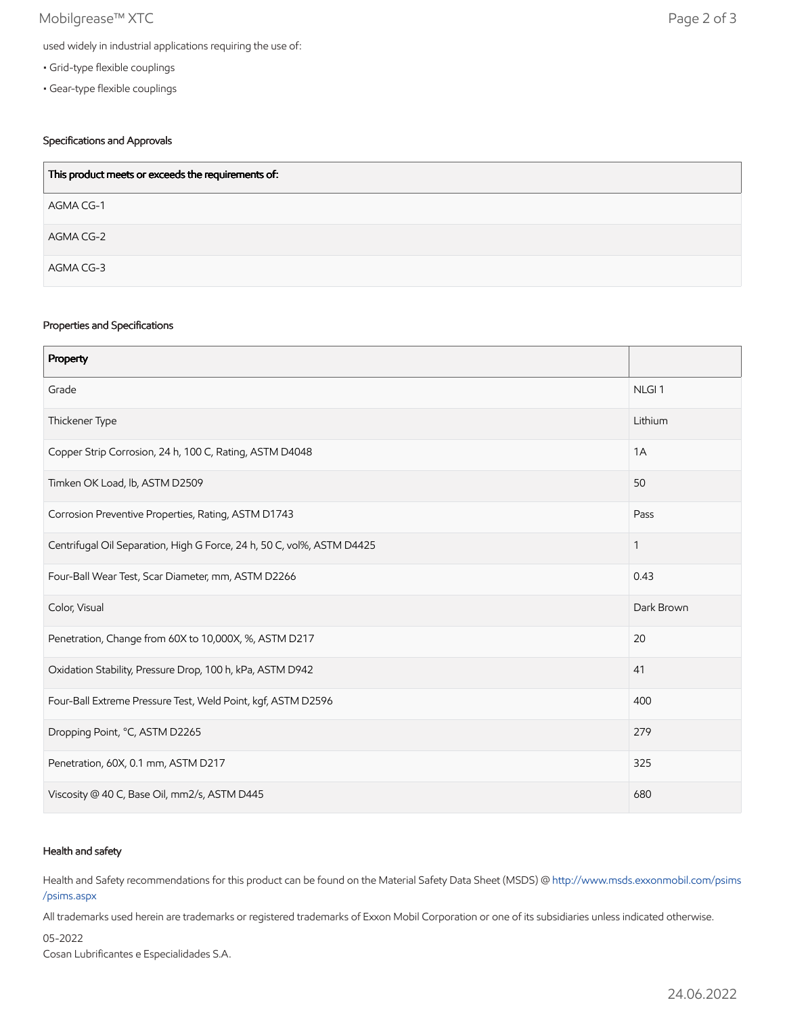## Mobilgrease™ XTC Page 2 of 3

- Grid-type flexible couplings
- Gear-type flexible couplings

## Specifications and Approvals

| This product meets or exceeds the requirements of: |
|----------------------------------------------------|
| AGMA CG-1                                          |
| AGMA CG-2                                          |
| AGMA CG-3                                          |

### Properties and Specifications

| Property                                                               |                   |
|------------------------------------------------------------------------|-------------------|
| Grade                                                                  | NLGI <sub>1</sub> |
| Thickener Type                                                         | Lithium           |
| Copper Strip Corrosion, 24 h, 100 C, Rating, ASTM D4048                | 1A                |
| Timken OK Load, lb, ASTM D2509                                         | 50                |
| Corrosion Preventive Properties, Rating, ASTM D1743                    | Pass              |
| Centrifugal Oil Separation, High G Force, 24 h, 50 C, vol%, ASTM D4425 | 1                 |
| Four-Ball Wear Test, Scar Diameter, mm, ASTM D2266                     | 0.43              |
| Color, Visual                                                          | Dark Brown        |
| Penetration, Change from 60X to 10,000X, %, ASTM D217                  | 20                |
| Oxidation Stability, Pressure Drop, 100 h, kPa, ASTM D942              | 41                |
| Four-Ball Extreme Pressure Test, Weld Point, kgf, ASTM D2596           | 400               |
| Dropping Point, °C, ASTM D2265                                         | 279               |
| Penetration, 60X, 0.1 mm, ASTM D217                                    | 325               |
| Viscosity @ 40 C, Base Oil, mm2/s, ASTM D445                           | 680               |

### Health and safety

Health and Safety recommendations for this product can be found on the Material Safety Data Sheet (MSDS) @ [http://www.msds.exxonmobil.com/psims](http://www.msds.exxonmobil.com/psims/psims.aspx) /psims.aspx

All trademarks used herein are trademarks or registered trademarks of Exxon Mobil Corporation or one of its subsidiaries unless indicated otherwise.

05-2022

Cosan Lubrificantes e Especialidades S.A.